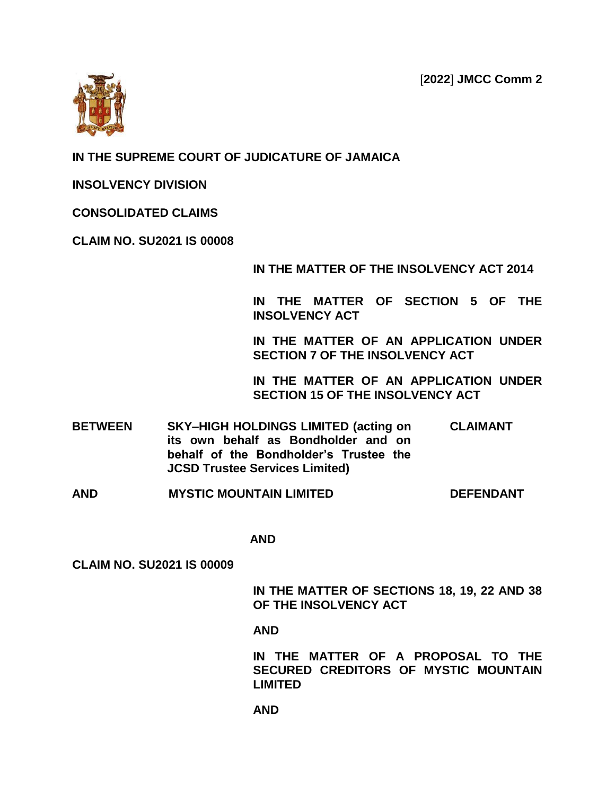[**2022**] **JMCC Comm 2**



## **IN THE SUPREME COURT OF JUDICATURE OF JAMAICA**

**INSOLVENCY DIVISION**

**CONSOLIDATED CLAIMS**

**CLAIM NO. SU2021 IS 00008**

**IN THE MATTER OF THE INSOLVENCY ACT 2014**

**IN THE MATTER OF SECTION 5 OF THE INSOLVENCY ACT**

**IN THE MATTER OF AN APPLICATION UNDER SECTION 7 OF THE INSOLVENCY ACT**

**IN THE MATTER OF AN APPLICATION UNDER SECTION 15 OF THE INSOLVENCY ACT**

- **BETWEEN SKY–HIGH HOLDINGS LIMITED (acting on its own behalf as Bondholder and on behalf of the Bondholder's Trustee the JCSD Trustee Services Limited) CLAIMANT**
- **AND MYSTIC MOUNTAIN LIMITED DEFENDANT**

 **AND** 

**CLAIM NO. SU2021 IS 00009**

**IN THE MATTER OF SECTIONS 18, 19, 22 AND 38 OF THE INSOLVENCY ACT** 

**AND** 

**IN THE MATTER OF A PROPOSAL TO THE SECURED CREDITORS OF MYSTIC MOUNTAIN LIMITED**

**AND**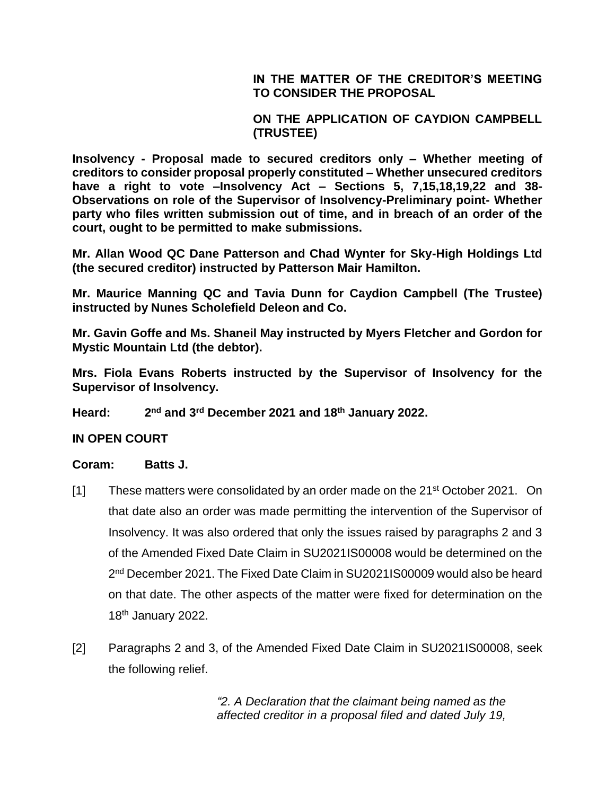**IN THE MATTER OF THE CREDITOR'S MEETING TO CONSIDER THE PROPOSAL**

**ON THE APPLICATION OF CAYDION CAMPBELL (TRUSTEE)**

**Insolvency - Proposal made to secured creditors only – Whether meeting of creditors to consider proposal properly constituted – Whether unsecured creditors have a right to vote –Insolvency Act – Sections 5, 7,15,18,19,22 and 38- Observations on role of the Supervisor of Insolvency-Preliminary point- Whether party who files written submission out of time, and in breach of an order of the court, ought to be permitted to make submissions.**

**Mr. Allan Wood QC Dane Patterson and Chad Wynter for Sky-High Holdings Ltd (the secured creditor) instructed by Patterson Mair Hamilton.**

**Mr. Maurice Manning QC and Tavia Dunn for Caydion Campbell (The Trustee) instructed by Nunes Scholefield Deleon and Co.**

**Mr. Gavin Goffe and Ms. Shaneil May instructed by Myers Fletcher and Gordon for Mystic Mountain Ltd (the debtor).**

**Mrs. Fiola Evans Roberts instructed by the Supervisor of Insolvency for the Supervisor of Insolvency.**

**Heard: 2 nd and 3rd December 2021 and 18th January 2022.**

**IN OPEN COURT**

## **Coram: Batts J.**

- [1] These matters were consolidated by an order made on the  $21<sup>st</sup>$  October 2021. On that date also an order was made permitting the intervention of the Supervisor of Insolvency. It was also ordered that only the issues raised by paragraphs 2 and 3 of the Amended Fixed Date Claim in SU2021IS00008 would be determined on the 2<sup>nd</sup> December 2021. The Fixed Date Claim in SU2021IS00009 would also be heard on that date. The other aspects of the matter were fixed for determination on the 18<sup>th</sup> January 2022.
- [2] Paragraphs 2 and 3, of the Amended Fixed Date Claim in SU2021IS00008, seek the following relief.

*"2. A Declaration that the claimant being named as the affected creditor in a proposal filed and dated July 19,*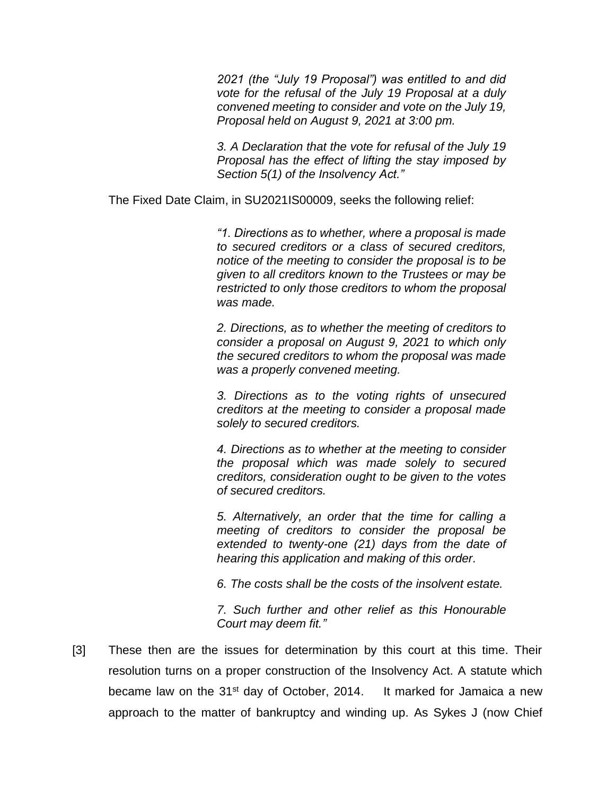*2021 (the "July 19 Proposal") was entitled to and did vote for the refusal of the July 19 Proposal at a duly convened meeting to consider and vote on the July 19, Proposal held on August 9, 2021 at 3:00 pm.*

*3. A Declaration that the vote for refusal of the July 19 Proposal has the effect of lifting the stay imposed by Section 5(1) of the Insolvency Act."*

The Fixed Date Claim, in SU2021IS00009, seeks the following relief:

*"1. Directions as to whether, where a proposal is made to secured creditors or a class of secured creditors, notice of the meeting to consider the proposal is to be given to all creditors known to the Trustees or may be restricted to only those creditors to whom the proposal was made.*

*2. Directions, as to whether the meeting of creditors to consider a proposal on August 9, 2021 to which only the secured creditors to whom the proposal was made was a properly convened meeting.*

*3. Directions as to the voting rights of unsecured creditors at the meeting to consider a proposal made solely to secured creditors.*

*4. Directions as to whether at the meeting to consider the proposal which was made solely to secured creditors, consideration ought to be given to the votes of secured creditors.*

*5. Alternatively, an order that the time for calling a meeting of creditors to consider the proposal be extended to twenty-one (21) days from the date of hearing this application and making of this order.*

*6. The costs shall be the costs of the insolvent estate.*

*7. Such further and other relief as this Honourable Court may deem fit."*

[3] These then are the issues for determination by this court at this time. Their resolution turns on a proper construction of the Insolvency Act. A statute which became law on the 31 $st$  day of October, 2014. It marked for Jamaica a new approach to the matter of bankruptcy and winding up. As Sykes J (now Chief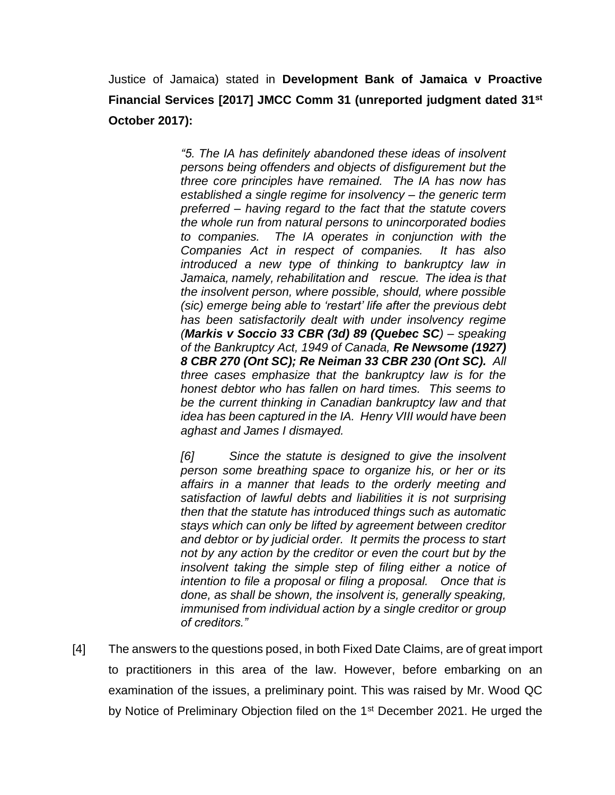Justice of Jamaica) stated in **Development Bank of Jamaica v Proactive Financial Services [2017] JMCC Comm 31 (unreported judgment dated 31st October 2017):**

> *"5. The IA has definitely abandoned these ideas of insolvent persons being offenders and objects of disfigurement but the three core principles have remained. The IA has now has established a single regime for insolvency – the generic term preferred – having regard to the fact that the statute covers the whole run from natural persons to unincorporated bodies to companies. The IA operates in conjunction with the Companies Act in respect of companies. It has also introduced a new type of thinking to bankruptcy law in Jamaica, namely, rehabilitation and rescue. The idea is that the insolvent person, where possible, should, where possible (sic) emerge being able to 'restart' life after the previous debt has been satisfactorily dealt with under insolvency regime (Markis v Soccio 33 CBR (3d) 89 (Quebec SC) – speaking of the Bankruptcy Act, 1949 of Canada, Re Newsome (1927) 8 CBR 270 (Ont SC); Re Neiman 33 CBR 230 (Ont SC). All three cases emphasize that the bankruptcy law is for the honest debtor who has fallen on hard times. This seems to be the current thinking in Canadian bankruptcy law and that idea has been captured in the IA. Henry VIII would have been aghast and James I dismayed.*

> *[6] Since the statute is designed to give the insolvent person some breathing space to organize his, or her or its affairs in a manner that leads to the orderly meeting and satisfaction of lawful debts and liabilities it is not surprising then that the statute has introduced things such as automatic stays which can only be lifted by agreement between creditor and debtor or by judicial order. It permits the process to start not by any action by the creditor or even the court but by the insolvent taking the simple step of filing either a notice of intention to file a proposal or filing a proposal. Once that is done, as shall be shown, the insolvent is, generally speaking, immunised from individual action by a single creditor or group of creditors."*

[4] The answers to the questions posed, in both Fixed Date Claims, are of great import to practitioners in this area of the law. However, before embarking on an examination of the issues, a preliminary point. This was raised by Mr. Wood QC by Notice of Preliminary Objection filed on the 1<sup>st</sup> December 2021. He urged the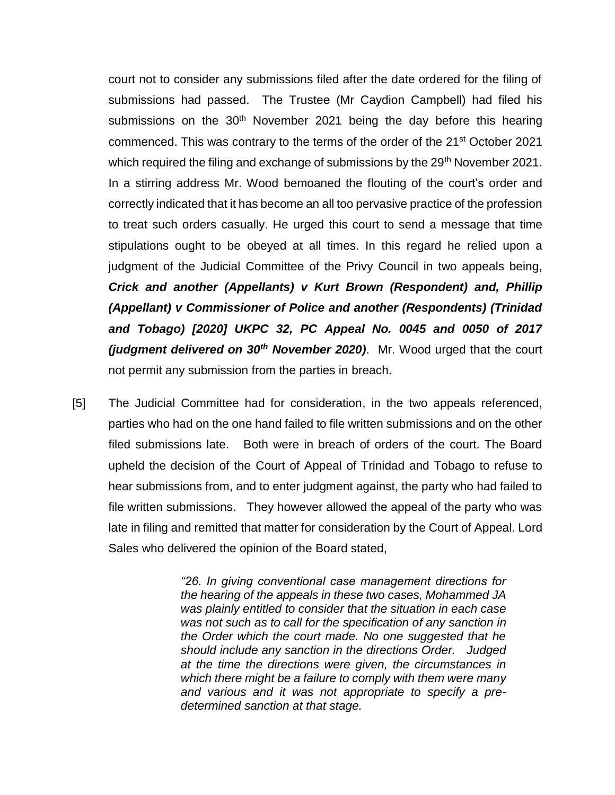court not to consider any submissions filed after the date ordered for the filing of submissions had passed. The Trustee (Mr Caydion Campbell) had filed his submissions on the  $30<sup>th</sup>$  November 2021 being the day before this hearing commenced. This was contrary to the terms of the order of the 21st October 2021 which required the filing and exchange of submissions by the  $29<sup>th</sup>$  November 2021. In a stirring address Mr. Wood bemoaned the flouting of the court's order and correctly indicated that it has become an all too pervasive practice of the profession to treat such orders casually. He urged this court to send a message that time stipulations ought to be obeyed at all times. In this regard he relied upon a judgment of the Judicial Committee of the Privy Council in two appeals being, *Crick and another (Appellants) v Kurt Brown (Respondent) and, Phillip (Appellant) v Commissioner of Police and another (Respondents) (Trinidad and Tobago) [2020] UKPC 32, PC Appeal No. 0045 and 0050 of 2017 (judgment delivered on 30th November 2020)*. Mr. Wood urged that the court not permit any submission from the parties in breach.

[5] The Judicial Committee had for consideration, in the two appeals referenced, parties who had on the one hand failed to file written submissions and on the other filed submissions late. Both were in breach of orders of the court. The Board upheld the decision of the Court of Appeal of Trinidad and Tobago to refuse to hear submissions from, and to enter judgment against, the party who had failed to file written submissions. They however allowed the appeal of the party who was late in filing and remitted that matter for consideration by the Court of Appeal. Lord Sales who delivered the opinion of the Board stated,

> *"26. In giving conventional case management directions for the hearing of the appeals in these two cases, Mohammed JA was plainly entitled to consider that the situation in each case was not such as to call for the specification of any sanction in the Order which the court made. No one suggested that he should include any sanction in the directions Order. Judged at the time the directions were given, the circumstances in which there might be a failure to comply with them were many and various and it was not appropriate to specify a predetermined sanction at that stage.*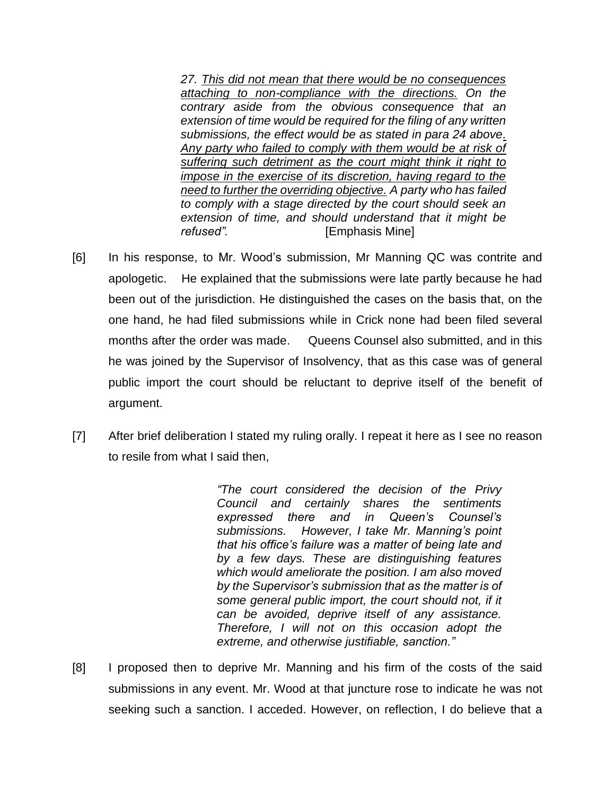*27. This did not mean that there would be no consequences attaching to non-compliance with the directions. On the contrary aside from the obvious consequence that an extension of time would be required for the filing of any written submissions, the effect would be as stated in para 24 above. Any party who failed to comply with them would be at risk of suffering such detriment as the court might think it right to impose in the exercise of its discretion, having regard to the need to further the overriding objective. A party who has failed to comply with a stage directed by the court should seek an extension of time, and should understand that it might be refused".* [Emphasis Mine]

- [6] In his response, to Mr. Wood's submission, Mr Manning QC was contrite and apologetic. He explained that the submissions were late partly because he had been out of the jurisdiction. He distinguished the cases on the basis that, on the one hand, he had filed submissions while in Crick none had been filed several months after the order was made. Queens Counsel also submitted, and in this he was joined by the Supervisor of Insolvency, that as this case was of general public import the court should be reluctant to deprive itself of the benefit of argument.
- [7] After brief deliberation I stated my ruling orally. I repeat it here as I see no reason to resile from what I said then,

*"The court considered the decision of the Privy Council and certainly shares the sentiments expressed there and in Queen's Counsel's submissions. However, I take Mr. Manning's point that his office's failure was a matter of being late and by a few days. These are distinguishing features which would ameliorate the position. I am also moved by the Supervisor's submission that as the matter is of some general public import, the court should not, if it can be avoided, deprive itself of any assistance. Therefore, I will not on this occasion adopt the extreme, and otherwise justifiable, sanction."*

[8] I proposed then to deprive Mr. Manning and his firm of the costs of the said submissions in any event. Mr. Wood at that juncture rose to indicate he was not seeking such a sanction. I acceded. However, on reflection, I do believe that a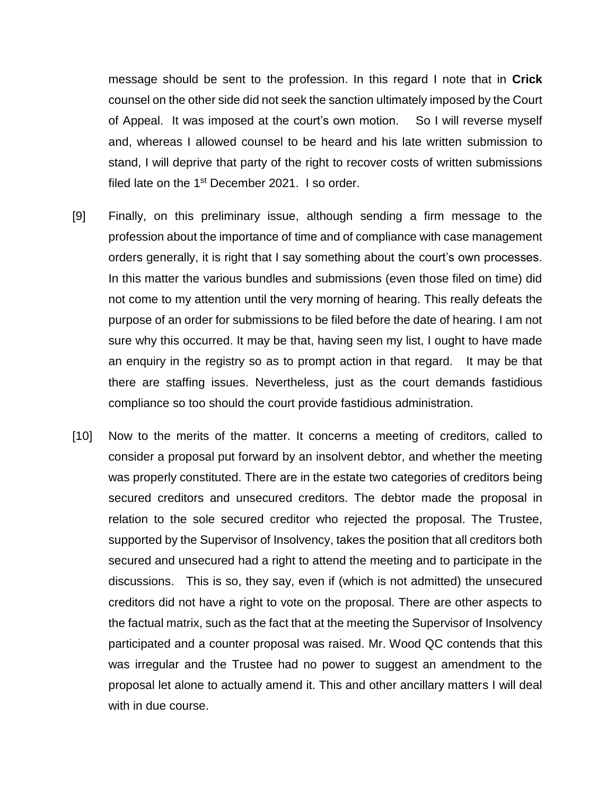message should be sent to the profession. In this regard I note that in **Crick** counsel on the other side did not seek the sanction ultimately imposed by the Court of Appeal. It was imposed at the court's own motion. So I will reverse myself and, whereas I allowed counsel to be heard and his late written submission to stand, I will deprive that party of the right to recover costs of written submissions filed late on the 1<sup>st</sup> December 2021. I so order.

- [9] Finally, on this preliminary issue, although sending a firm message to the profession about the importance of time and of compliance with case management orders generally, it is right that I say something about the court's own processes. In this matter the various bundles and submissions (even those filed on time) did not come to my attention until the very morning of hearing. This really defeats the purpose of an order for submissions to be filed before the date of hearing. I am not sure why this occurred. It may be that, having seen my list, I ought to have made an enquiry in the registry so as to prompt action in that regard. It may be that there are staffing issues. Nevertheless, just as the court demands fastidious compliance so too should the court provide fastidious administration.
- [10] Now to the merits of the matter. It concerns a meeting of creditors, called to consider a proposal put forward by an insolvent debtor, and whether the meeting was properly constituted. There are in the estate two categories of creditors being secured creditors and unsecured creditors. The debtor made the proposal in relation to the sole secured creditor who rejected the proposal. The Trustee, supported by the Supervisor of Insolvency, takes the position that all creditors both secured and unsecured had a right to attend the meeting and to participate in the discussions. This is so, they say, even if (which is not admitted) the unsecured creditors did not have a right to vote on the proposal. There are other aspects to the factual matrix, such as the fact that at the meeting the Supervisor of Insolvency participated and a counter proposal was raised. Mr. Wood QC contends that this was irregular and the Trustee had no power to suggest an amendment to the proposal let alone to actually amend it. This and other ancillary matters I will deal with in due course.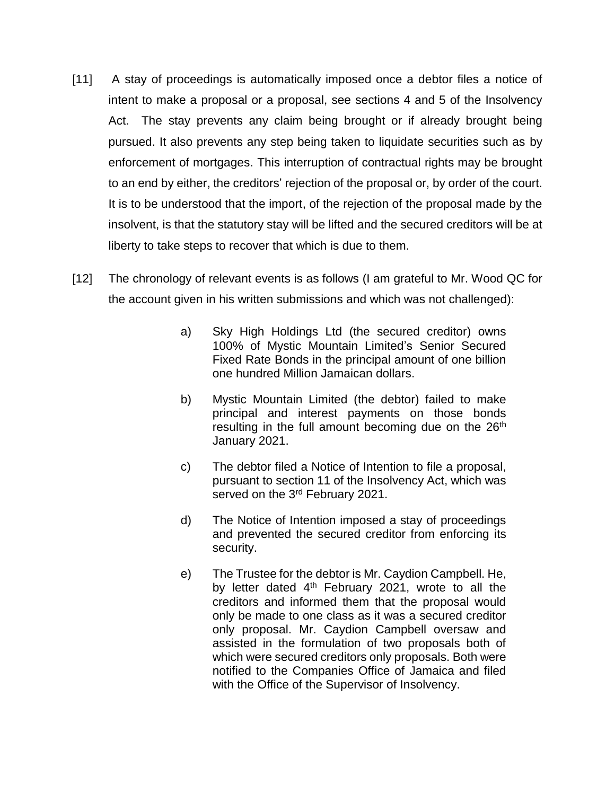- [11] A stay of proceedings is automatically imposed once a debtor files a notice of intent to make a proposal or a proposal, see sections 4 and 5 of the Insolvency Act. The stay prevents any claim being brought or if already brought being pursued. It also prevents any step being taken to liquidate securities such as by enforcement of mortgages. This interruption of contractual rights may be brought to an end by either, the creditors' rejection of the proposal or, by order of the court. It is to be understood that the import, of the rejection of the proposal made by the insolvent, is that the statutory stay will be lifted and the secured creditors will be at liberty to take steps to recover that which is due to them.
- [12] The chronology of relevant events is as follows (I am grateful to Mr. Wood QC for the account given in his written submissions and which was not challenged):
	- a) Sky High Holdings Ltd (the secured creditor) owns 100% of Mystic Mountain Limited's Senior Secured Fixed Rate Bonds in the principal amount of one billion one hundred Million Jamaican dollars.
	- b) Mystic Mountain Limited (the debtor) failed to make principal and interest payments on those bonds resulting in the full amount becoming due on the 26<sup>th</sup> January 2021.
	- c) The debtor filed a Notice of Intention to file a proposal, pursuant to section 11 of the Insolvency Act, which was served on the 3<sup>rd</sup> February 2021.
	- d) The Notice of Intention imposed a stay of proceedings and prevented the secured creditor from enforcing its security.
	- e) The Trustee for the debtor is Mr. Caydion Campbell. He, by letter dated  $4<sup>th</sup>$  February 2021, wrote to all the creditors and informed them that the proposal would only be made to one class as it was a secured creditor only proposal. Mr. Caydion Campbell oversaw and assisted in the formulation of two proposals both of which were secured creditors only proposals. Both were notified to the Companies Office of Jamaica and filed with the Office of the Supervisor of Insolvency.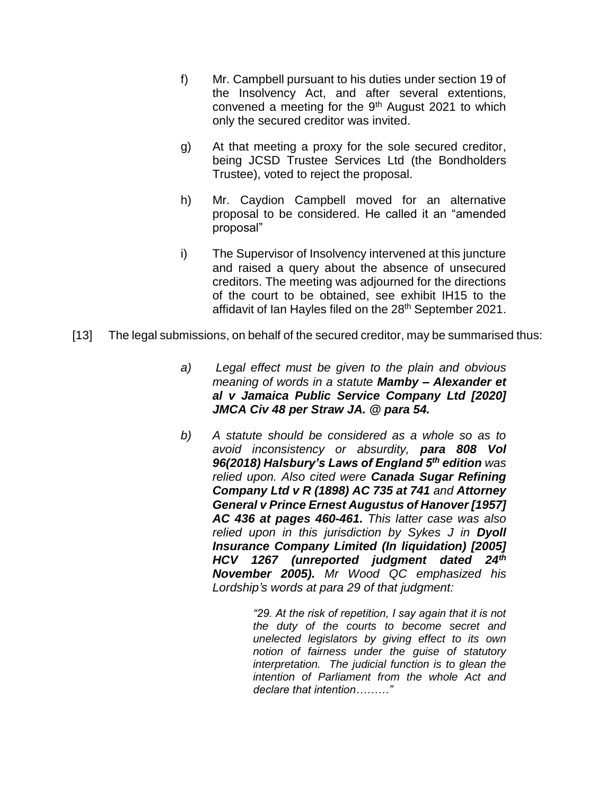- f) Mr. Campbell pursuant to his duties under section 19 of the Insolvency Act, and after several extentions, convened a meeting for the 9th August 2021 to which only the secured creditor was invited.
- g) At that meeting a proxy for the sole secured creditor, being JCSD Trustee Services Ltd (the Bondholders Trustee), voted to reject the proposal.
- h) Mr. Caydion Campbell moved for an alternative proposal to be considered. He called it an "amended proposal"
- i) The Supervisor of Insolvency intervened at this juncture and raised a query about the absence of unsecured creditors. The meeting was adjourned for the directions of the court to be obtained, see exhibit IH15 to the affidavit of Ian Hayles filed on the 28<sup>th</sup> September 2021.
- [13] The legal submissions, on behalf of the secured creditor, may be summarised thus:
	- *a) Legal effect must be given to the plain and obvious meaning of words in a statute Mamby – Alexander et al v Jamaica Public Service Company Ltd [2020] JMCA Civ 48 per Straw JA. @ para 54.*
	- *b) A statute should be considered as a whole so as to avoid inconsistency or absurdity, para 808 Vol 96(2018) Halsbury's Laws of England 5th edition was relied upon. Also cited were Canada Sugar Refining Company Ltd v R (1898) AC 735 at 741 and Attorney General v Prince Ernest Augustus of Hanover [1957] AC 436 at pages 460-461. This latter case was also relied upon in this jurisdiction by Sykes J in Dyoll Insurance Company Limited (In liquidation) [2005] HCV 1267 (unreported judgment dated 24th November 2005). Mr Wood QC emphasized his Lordship's words at para 29 of that judgment:*

*"29. At the risk of repetition, I say again that it is not the duty of the courts to become secret and unelected legislators by giving effect to its own notion of fairness under the guise of statutory interpretation. The judicial function is to glean the intention of Parliament from the whole Act and declare that intention………"*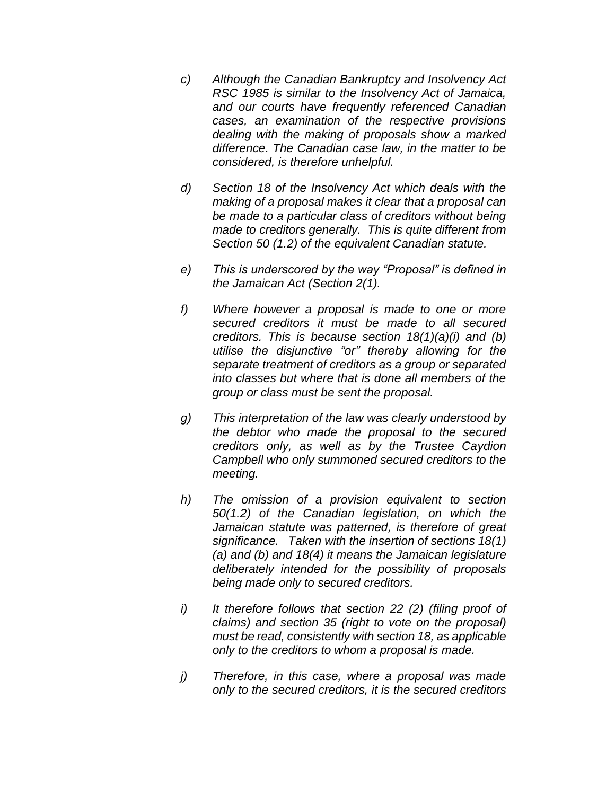- *c) Although the Canadian Bankruptcy and Insolvency Act RSC 1985 is similar to the Insolvency Act of Jamaica, and our courts have frequently referenced Canadian cases, an examination of the respective provisions dealing with the making of proposals show a marked difference. The Canadian case law, in the matter to be considered, is therefore unhelpful.*
- *d) Section 18 of the Insolvency Act which deals with the making of a proposal makes it clear that a proposal can be made to a particular class of creditors without being made to creditors generally. This is quite different from Section 50 (1.2) of the equivalent Canadian statute.*
- *e) This is underscored by the way "Proposal" is defined in the Jamaican Act (Section 2(1).*
- *f) Where however a proposal is made to one or more secured creditors it must be made to all secured creditors. This is because section 18(1)(a)(i) and (b) utilise the disjunctive "or" thereby allowing for the separate treatment of creditors as a group or separated into classes but where that is done all members of the group or class must be sent the proposal.*
- *g) This interpretation of the law was clearly understood by the debtor who made the proposal to the secured creditors only, as well as by the Trustee Caydion Campbell who only summoned secured creditors to the meeting.*
- *h) The omission of a provision equivalent to section 50(1.2) of the Canadian legislation, on which the Jamaican statute was patterned, is therefore of great significance. Taken with the insertion of sections 18(1) (a) and (b) and 18(4) it means the Jamaican legislature deliberately intended for the possibility of proposals being made only to secured creditors.*
- *i) It therefore follows that section 22 (2) (filing proof of claims) and section 35 (right to vote on the proposal) must be read, consistently with section 18, as applicable only to the creditors to whom a proposal is made.*
- *j) Therefore, in this case, where a proposal was made only to the secured creditors, it is the secured creditors*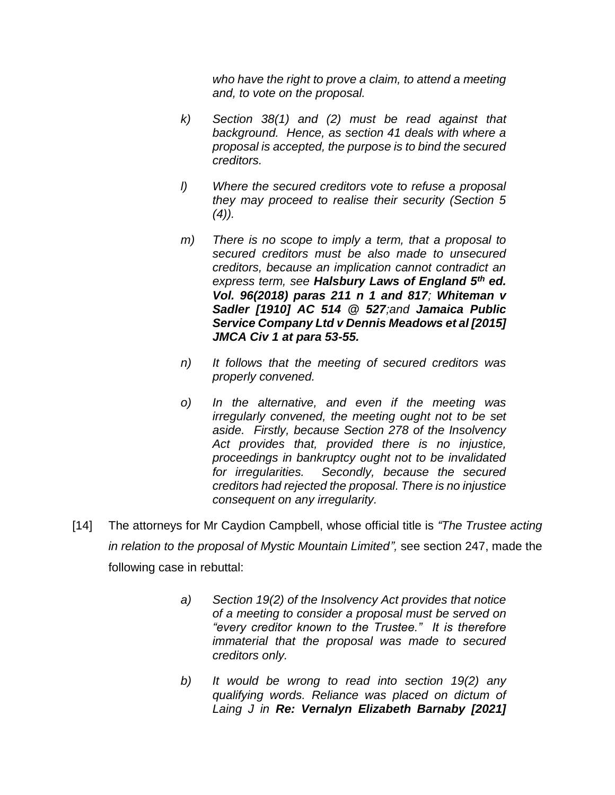*who have the right to prove a claim, to attend a meeting and, to vote on the proposal.* 

- *k) Section 38(1) and (2) must be read against that background. Hence, as section 41 deals with where a proposal is accepted, the purpose is to bind the secured creditors.*
- *l) Where the secured creditors vote to refuse a proposal they may proceed to realise their security (Section 5 (4)).*
- *m) There is no scope to imply a term, that a proposal to secured creditors must be also made to unsecured creditors, because an implication cannot contradict an express term, see Halsbury Laws of England 5th ed. Vol. 96(2018) paras 211 n 1 and 817; Whiteman v Sadler [1910] AC 514 @ 527;and Jamaica Public Service Company Ltd v Dennis Meadows et al [2015] JMCA Civ 1 at para 53-55.*
- *n) It follows that the meeting of secured creditors was properly convened.*
- *o) In the alternative, and even if the meeting was irregularly convened, the meeting ought not to be set aside. Firstly, because Section 278 of the Insolvency Act provides that, provided there is no injustice, proceedings in bankruptcy ought not to be invalidated for irregularities. Secondly, because the secured creditors had rejected the proposal. There is no injustice consequent on any irregularity.*
- [14] The attorneys for Mr Caydion Campbell, whose official title is *"The Trustee acting in relation to the proposal of Mystic Mountain Limited",* see section 247, made the following case in rebuttal:
	- *a) Section 19(2) of the Insolvency Act provides that notice of a meeting to consider a proposal must be served on "every creditor known to the Trustee." It is therefore immaterial that the proposal was made to secured creditors only.*
	- *b) It would be wrong to read into section 19(2) any qualifying words. Reliance was placed on dictum of Laing J in Re: Vernalyn Elizabeth Barnaby [2021]*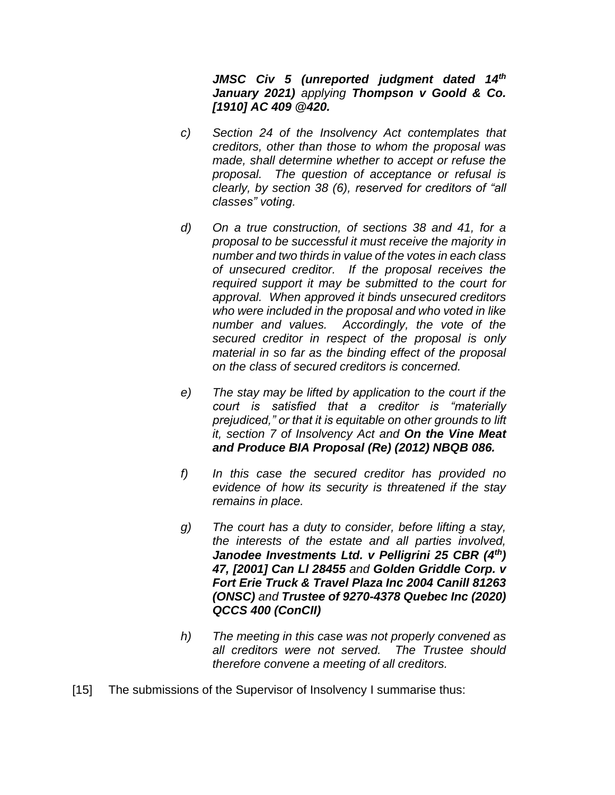*JMSC Civ 5 (unreported judgment dated 14th January 2021) applying Thompson v Goold & Co. [1910] AC 409 @420.*

- *c) Section 24 of the Insolvency Act contemplates that creditors, other than those to whom the proposal was made, shall determine whether to accept or refuse the proposal. The question of acceptance or refusal is clearly, by section 38 (6), reserved for creditors of "all classes" voting.*
- *d) On a true construction, of sections 38 and 41, for a proposal to be successful it must receive the majority in number and two thirds in value of the votes in each class of unsecured creditor. If the proposal receives the required support it may be submitted to the court for approval. When approved it binds unsecured creditors who were included in the proposal and who voted in like number and values. Accordingly, the vote of the secured creditor in respect of the proposal is only material in so far as the binding effect of the proposal on the class of secured creditors is concerned.*
- *e) The stay may be lifted by application to the court if the court is satisfied that a creditor is "materially prejudiced," or that it is equitable on other grounds to lift it, section 7 of Insolvency Act and On the Vine Meat and Produce BIA Proposal (Re) (2012) NBQB 086.*
- *f) In this case the secured creditor has provided no evidence of how its security is threatened if the stay remains in place.*
- *g) The court has a duty to consider, before lifting a stay, the interests of the estate and all parties involved, Janodee Investments Ltd. v Pelligrini 25 CBR (4th) 47, [2001] Can Ll 28455 and Golden Griddle Corp. v Fort Erie Truck & Travel Plaza Inc 2004 Canill 81263 (ONSC) and Trustee of 9270-4378 Quebec Inc (2020) QCCS 400 (ConCII)*
- *h) The meeting in this case was not properly convened as all creditors were not served. The Trustee should therefore convene a meeting of all creditors.*
- [15] The submissions of the Supervisor of Insolvency I summarise thus: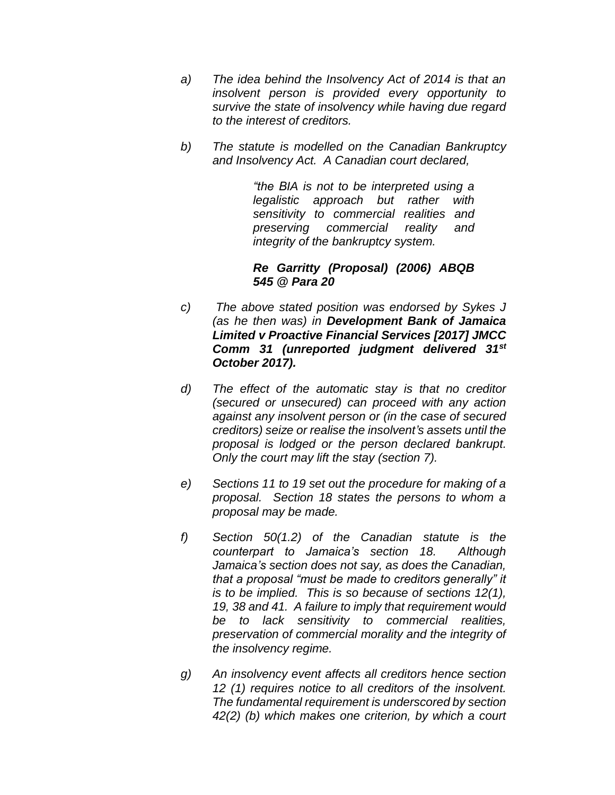- *a) The idea behind the Insolvency Act of 2014 is that an insolvent person is provided every opportunity to survive the state of insolvency while having due regard to the interest of creditors.*
- *b) The statute is modelled on the Canadian Bankruptcy and Insolvency Act. A Canadian court declared,*

*"the BIA is not to be interpreted using a legalistic approach but rather with sensitivity to commercial realities and preserving commercial reality and integrity of the bankruptcy system.*

*Re Garritty (Proposal) (2006) ABQB 545 @ Para 20*

- *c) The above stated position was endorsed by Sykes J (as he then was) in Development Bank of Jamaica Limited v Proactive Financial Services [2017] JMCC Comm 31 (unreported judgment delivered 31st October 2017).*
- *d) The effect of the automatic stay is that no creditor (secured or unsecured) can proceed with any action against any insolvent person or (in the case of secured creditors) seize or realise the insolvent's assets until the proposal is lodged or the person declared bankrupt. Only the court may lift the stay (section 7).*
- *e) Sections 11 to 19 set out the procedure for making of a proposal. Section 18 states the persons to whom a proposal may be made.*
- *f) Section 50(1.2) of the Canadian statute is the counterpart to Jamaica's section 18. Although Jamaica's section does not say, as does the Canadian, that a proposal "must be made to creditors generally" it is to be implied. This is so because of sections 12(1), 19, 38 and 41. A failure to imply that requirement would be to lack sensitivity to commercial realities, preservation of commercial morality and the integrity of the insolvency regime.*
- *g) An insolvency event affects all creditors hence section 12 (1) requires notice to all creditors of the insolvent. The fundamental requirement is underscored by section 42(2) (b) which makes one criterion, by which a court*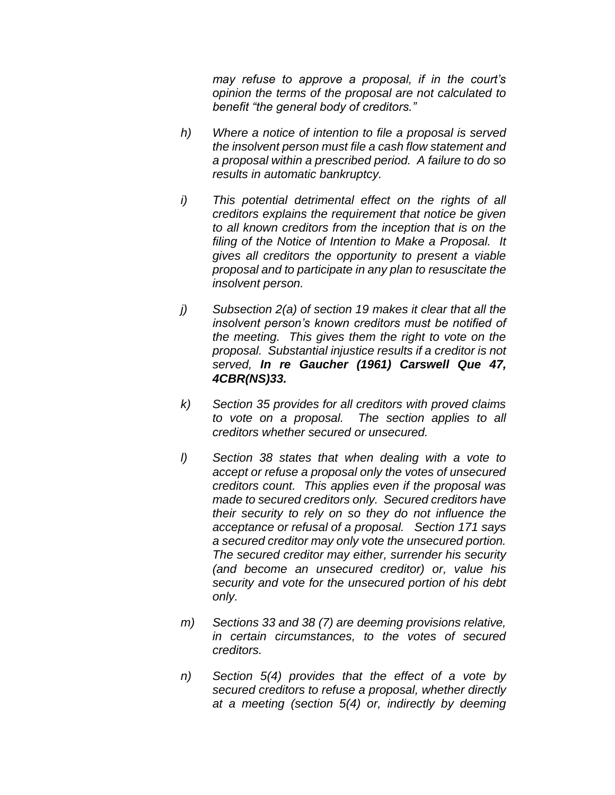*may refuse to approve a proposal, if in the court's opinion the terms of the proposal are not calculated to benefit "the general body of creditors."*

- *h) Where a notice of intention to file a proposal is served the insolvent person must file a cash flow statement and a proposal within a prescribed period. A failure to do so results in automatic bankruptcy.*
- *i) This potential detrimental effect on the rights of all creditors explains the requirement that notice be given to all known creditors from the inception that is on the filing of the Notice of Intention to Make a Proposal. It gives all creditors the opportunity to present a viable proposal and to participate in any plan to resuscitate the insolvent person.*
- *j) Subsection 2(a) of section 19 makes it clear that all the insolvent person's known creditors must be notified of the meeting. This gives them the right to vote on the proposal. Substantial injustice results if a creditor is not served, In re Gaucher (1961) Carswell Que 47, 4CBR(NS)33.*
- *k) Section 35 provides for all creditors with proved claims to vote on a proposal. The section applies to all creditors whether secured or unsecured.*
- *l) Section 38 states that when dealing with a vote to accept or refuse a proposal only the votes of unsecured creditors count. This applies even if the proposal was made to secured creditors only. Secured creditors have their security to rely on so they do not influence the acceptance or refusal of a proposal. Section 171 says a secured creditor may only vote the unsecured portion. The secured creditor may either, surrender his security (and become an unsecured creditor) or, value his security and vote for the unsecured portion of his debt only.*
- *m) Sections 33 and 38 (7) are deeming provisions relative, in certain circumstances, to the votes of secured creditors.*
- *n) Section 5(4) provides that the effect of a vote by secured creditors to refuse a proposal, whether directly at a meeting (section 5(4) or, indirectly by deeming*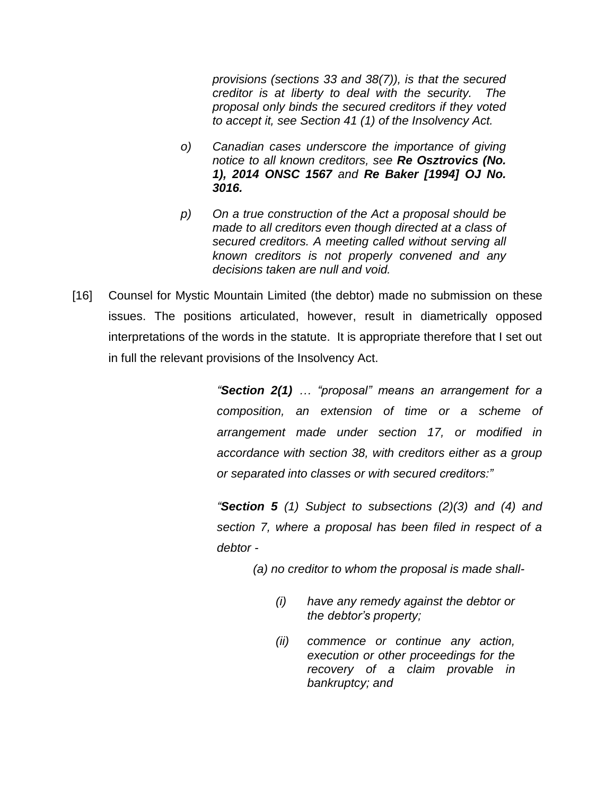*provisions (sections 33 and 38(7)), is that the secured creditor is at liberty to deal with the security. The proposal only binds the secured creditors if they voted to accept it, see Section 41 (1) of the Insolvency Act.* 

- *o) Canadian cases underscore the importance of giving notice to all known creditors, see Re Osztrovics (No. 1), 2014 ONSC 1567 and Re Baker [1994] OJ No. 3016.*
- *p) On a true construction of the Act a proposal should be made to all creditors even though directed at a class of secured creditors. A meeting called without serving all known creditors is not properly convened and any decisions taken are null and void.*
- [16] Counsel for Mystic Mountain Limited (the debtor) made no submission on these issues. The positions articulated, however, result in diametrically opposed interpretations of the words in the statute. It is appropriate therefore that I set out in full the relevant provisions of the Insolvency Act.

*"Section 2(1) … "proposal" means an arrangement for a composition, an extension of time or a scheme of arrangement made under section 17, or modified in accordance with section 38, with creditors either as a group or separated into classes or with secured creditors:"*

*"Section 5 (1) Subject to subsections (2)(3) and (4) and section 7, where a proposal has been filed in respect of a debtor -*

*(a) no creditor to whom the proposal is made shall-*

- *(i) have any remedy against the debtor or the debtor's property;*
- *(ii) commence or continue any action, execution or other proceedings for the recovery of a claim provable in bankruptcy; and*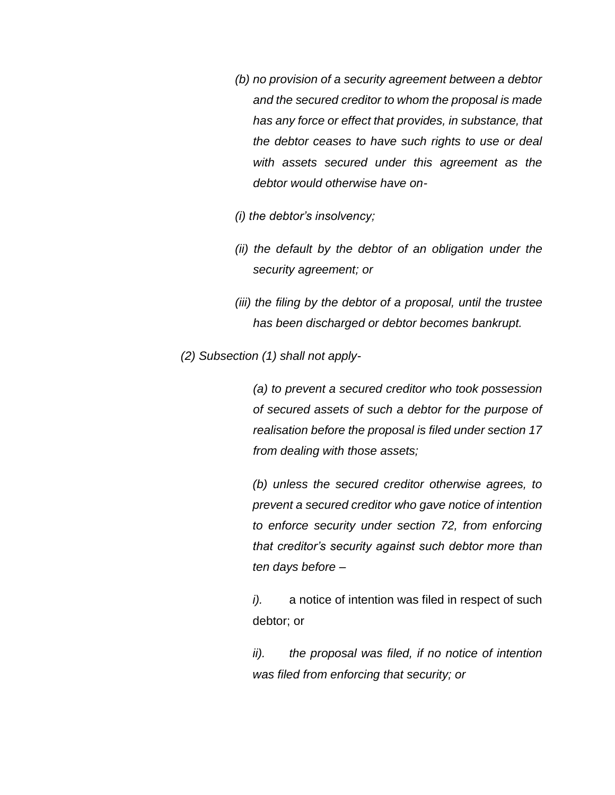- *(b) no provision of a security agreement between a debtor and the secured creditor to whom the proposal is made has any force or effect that provides, in substance, that the debtor ceases to have such rights to use or deal with assets secured under this agreement as the debtor would otherwise have on-*
- *(i) the debtor's insolvency;*
- *(ii) the default by the debtor of an obligation under the security agreement; or*
- *(iii) the filing by the debtor of a proposal, until the trustee has been discharged or debtor becomes bankrupt.*
- *(2) Subsection (1) shall not apply-*

*(a) to prevent a secured creditor who took possession of secured assets of such a debtor for the purpose of realisation before the proposal is filed under section 17 from dealing with those assets;*

*(b) unless the secured creditor otherwise agrees, to prevent a secured creditor who gave notice of intention to enforce security under section 72, from enforcing that creditor's security against such debtor more than ten days before –*

*i*). a notice of intention was filed in respect of such debtor; or

*ii). the proposal was filed, if no notice of intention was filed from enforcing that security; or*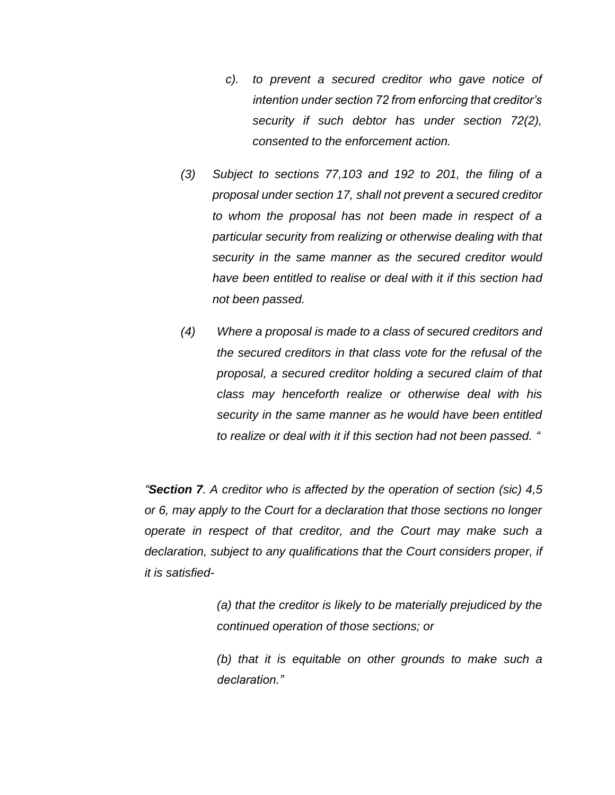- *c). to prevent a secured creditor who gave notice of intention under section 72 from enforcing that creditor's security if such debtor has under section 72(2), consented to the enforcement action.*
- *(3) Subject to sections 77,103 and 192 to 201, the filing of a proposal under section 17, shall not prevent a secured creditor to whom the proposal has not been made in respect of a particular security from realizing or otherwise dealing with that security in the same manner as the secured creditor would have been entitled to realise or deal with it if this section had not been passed.*
- *(4) Where a proposal is made to a class of secured creditors and the secured creditors in that class vote for the refusal of the proposal, a secured creditor holding a secured claim of that class may henceforth realize or otherwise deal with his security in the same manner as he would have been entitled to realize or deal with it if this section had not been passed. "*

*"Section 7. A creditor who is affected by the operation of section (sic) 4,5 or 6, may apply to the Court for a declaration that those sections no longer operate in respect of that creditor, and the Court may make such a declaration, subject to any qualifications that the Court considers proper, if it is satisfied-*

> *(a) that the creditor is likely to be materially prejudiced by the continued operation of those sections; or*

> *(b) that it is equitable on other grounds to make such a declaration."*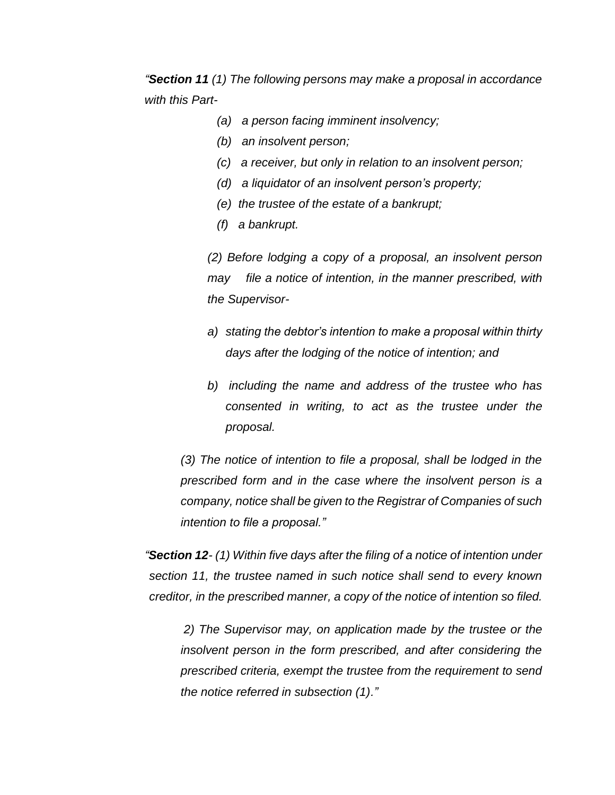*"Section 11 (1) The following persons may make a proposal in accordance with this Part-*

- *(a) a person facing imminent insolvency;*
- *(b) an insolvent person;*
- *(c) a receiver, but only in relation to an insolvent person;*
- *(d) a liquidator of an insolvent person's property;*
- *(e) the trustee of the estate of a bankrupt;*
- *(f) a bankrupt.*

*(2) Before lodging a copy of a proposal, an insolvent person may file a notice of intention, in the manner prescribed, with the Supervisor-*

- *a) stating the debtor's intention to make a proposal within thirty days after the lodging of the notice of intention; and*
- *b) including the name and address of the trustee who has consented in writing, to act as the trustee under the proposal.*

*(3) The notice of intention to file a proposal, shall be lodged in the prescribed form and in the case where the insolvent person is a company, notice shall be given to the Registrar of Companies of such intention to file a proposal."*

*"Section 12- (1) Within five days after the filing of a notice of intention under section 11, the trustee named in such notice shall send to every known creditor, in the prescribed manner, a copy of the notice of intention so filed.* 

*2) The Supervisor may, on application made by the trustee or the insolvent person in the form prescribed, and after considering the prescribed criteria, exempt the trustee from the requirement to send the notice referred in subsection (1)."*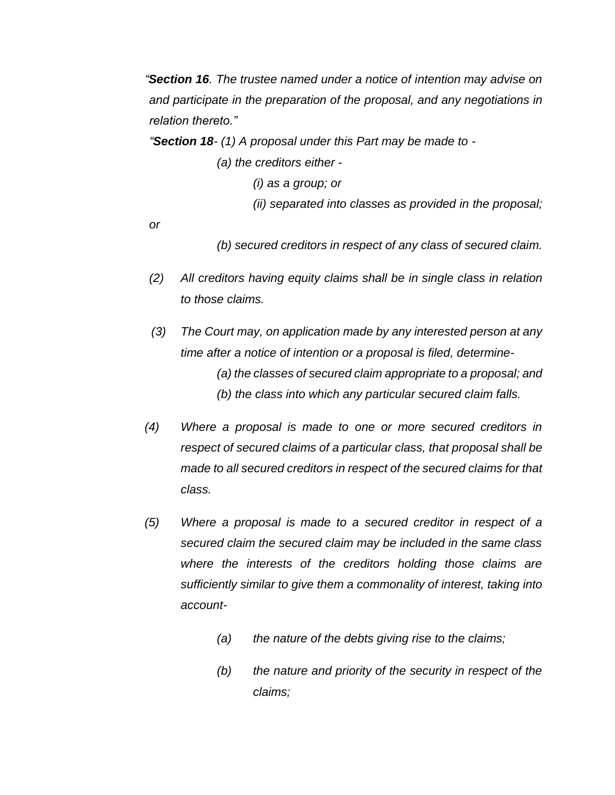*"Section 16. The trustee named under a notice of intention may advise on and participate in the preparation of the proposal, and any negotiations in relation thereto."*

*"Section 18- (1) A proposal under this Part may be made to -*

*(a) the creditors either -*

*(i) as a group; or*

*(ii) separated into classes as provided in the proposal;* 

*or*

*(b) secured creditors in respect of any class of secured claim.*

- *(2) All creditors having equity claims shall be in single class in relation to those claims.*
- *(3) The Court may, on application made by any interested person at any time after a notice of intention or a proposal is filed, determine- (a) the classes of secured claim appropriate to a proposal; and (b) the class into which any particular secured claim falls.*
- *(4) Where a proposal is made to one or more secured creditors in respect of secured claims of a particular class, that proposal shall be made to all secured creditors in respect of the secured claims for that class.*
- *(5) Where a proposal is made to a secured creditor in respect of a secured claim the secured claim may be included in the same class where the interests of the creditors holding those claims are sufficiently similar to give them a commonality of interest, taking into account-* 
	- *(a) the nature of the debts giving rise to the claims;*
	- *(b) the nature and priority of the security in respect of the claims;*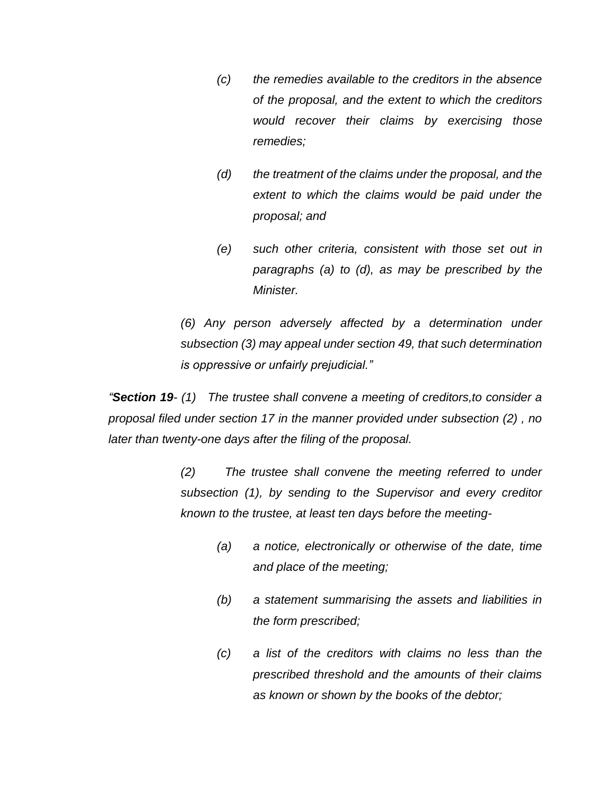- *(c) the remedies available to the creditors in the absence of the proposal, and the extent to which the creditors would recover their claims by exercising those remedies;*
- *(d) the treatment of the claims under the proposal, and the extent to which the claims would be paid under the proposal; and*
- *(e) such other criteria, consistent with those set out in paragraphs (a) to (d), as may be prescribed by the Minister.*

*(6) Any person adversely affected by a determination under subsection (3) may appeal under section 49, that such determination is oppressive or unfairly prejudicial."*

*"Section 19- (1) The trustee shall convene a meeting of creditors,to consider a proposal filed under section 17 in the manner provided under subsection (2) , no later than twenty-one days after the filing of the proposal.*

> *(2) The trustee shall convene the meeting referred to under subsection (1), by sending to the Supervisor and every creditor known to the trustee, at least ten days before the meeting-*

- *(a) a notice, electronically or otherwise of the date, time and place of the meeting;*
- *(b) a statement summarising the assets and liabilities in the form prescribed;*
- *(c) a list of the creditors with claims no less than the prescribed threshold and the amounts of their claims as known or shown by the books of the debtor;*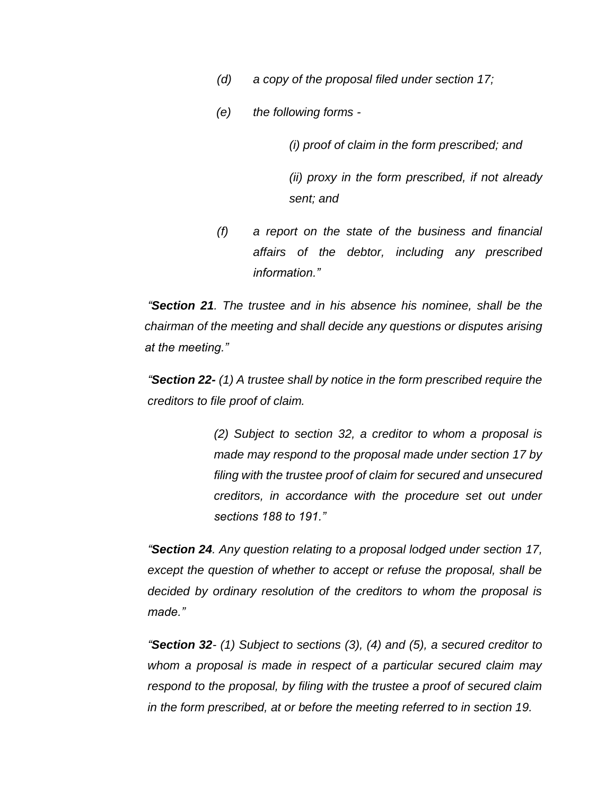- *(d) a copy of the proposal filed under section 17;*
- *(e) the following forms -*

*(i) proof of claim in the form prescribed; and*

*(ii) proxy in the form prescribed, if not already sent; and*

*(f) a report on the state of the business and financial affairs of the debtor, including any prescribed information."*

*"Section 21. The trustee and in his absence his nominee, shall be the chairman of the meeting and shall decide any questions or disputes arising at the meeting."*

*"Section 22- (1) A trustee shall by notice in the form prescribed require the creditors to file proof of claim.*

> *(2) Subject to section 32, a creditor to whom a proposal is made may respond to the proposal made under section 17 by filing with the trustee proof of claim for secured and unsecured creditors, in accordance with the procedure set out under sections 188 to 191."*

*"Section 24. Any question relating to a proposal lodged under section 17, except the question of whether to accept or refuse the proposal, shall be decided by ordinary resolution of the creditors to whom the proposal is made."*

*"Section 32- (1) Subject to sections (3), (4) and (5), a secured creditor to whom a proposal is made in respect of a particular secured claim may respond to the proposal, by filing with the trustee a proof of secured claim in the form prescribed, at or before the meeting referred to in section 19.*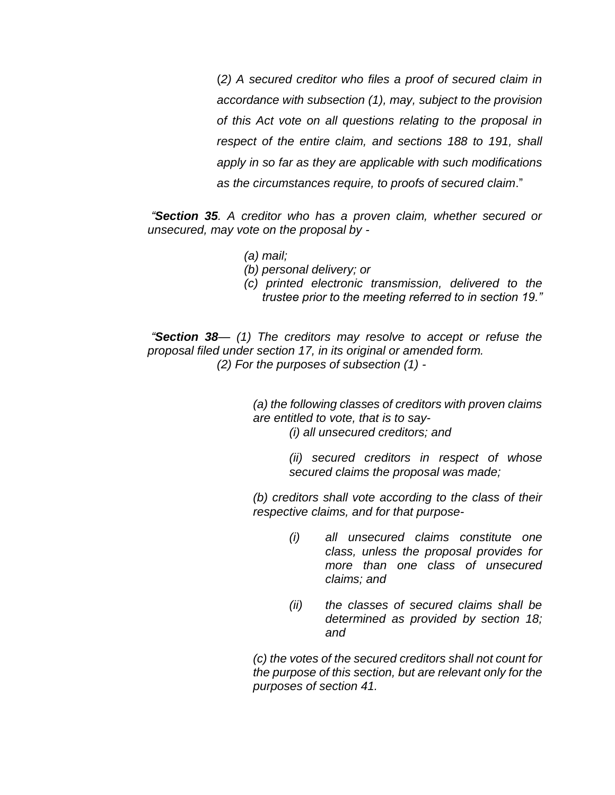(*2) A secured creditor who files a proof of secured claim in accordance with subsection (1), may, subject to the provision of this Act vote on all questions relating to the proposal in respect of the entire claim, and sections 188 to 191, shall apply in so far as they are applicable with such modifications as the circumstances require, to proofs of secured claim*."

*"Section 35. A creditor who has a proven claim, whether secured or unsecured, may vote on the proposal by -*

- *(a) mail;*
- *(b) personal delivery; or*
- *(c) printed electronic transmission, delivered to the trustee prior to the meeting referred to in section 19."*

*"Section 38— (1) The creditors may resolve to accept or refuse the proposal filed under section 17, in its original or amended form. (2) For the purposes of subsection (1) -*

> *(a) the following classes of creditors with proven claims are entitled to vote, that is to say- (i) all unsecured creditors; and*

> > *(ii) secured creditors in respect of whose secured claims the proposal was made;*

*(b) creditors shall vote according to the class of their respective claims, and for that purpose-* 

- *(i) all unsecured claims constitute one class, unless the proposal provides for more than one class of unsecured claims; and*
- *(ii) the classes of secured claims shall be determined as provided by section 18; and*

*(c) the votes of the secured creditors shall not count for the purpose of this section, but are relevant only for the purposes of section 41.*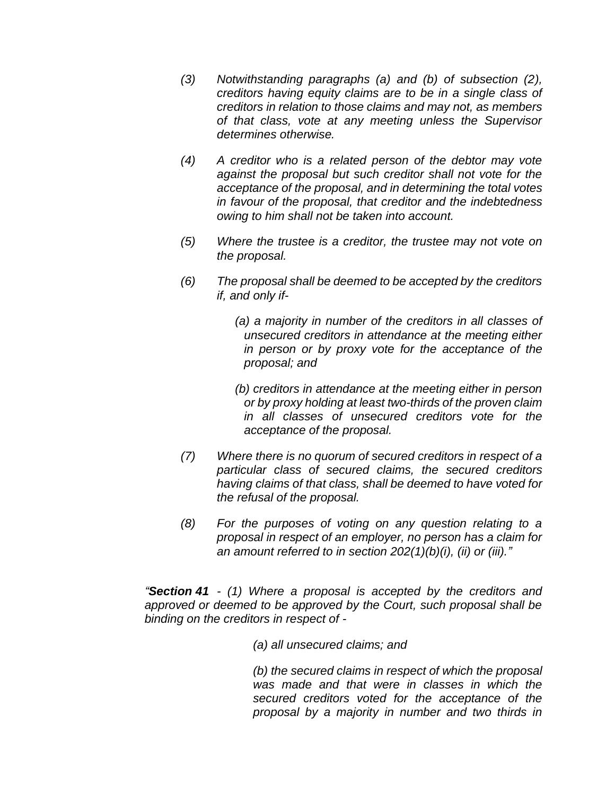- *(3) Notwithstanding paragraphs (a) and (b) of subsection (2), creditors having equity claims are to be in a single class of creditors in relation to those claims and may not, as members of that class, vote at any meeting unless the Supervisor determines otherwise.*
- *(4) A creditor who is a related person of the debtor may vote against the proposal but such creditor shall not vote for the acceptance of the proposal, and in determining the total votes in favour of the proposal, that creditor and the indebtedness owing to him shall not be taken into account.*
- *(5) Where the trustee is a creditor, the trustee may not vote on the proposal.*
- *(6) The proposal shall be deemed to be accepted by the creditors if, and only if-*

*(a) a majority in number of the creditors in all classes of unsecured creditors in attendance at the meeting either in person or by proxy vote for the acceptance of the proposal; and*

*(b) creditors in attendance at the meeting either in person or by proxy holding at least two-thirds of the proven claim in all classes of unsecured creditors vote for the acceptance of the proposal.*

- *(7) Where there is no quorum of secured creditors in respect of a particular class of secured claims, the secured creditors having claims of that class, shall be deemed to have voted for the refusal of the proposal.*
- *(8) For the purposes of voting on any question relating to a proposal in respect of an employer, no person has a claim for an amount referred to in section 202(1)(b)(i), (ii) or (iii)."*

*"Section 41 - (1) Where a proposal is accepted by the creditors and approved or deemed to be approved by the Court, such proposal shall be binding on the creditors in respect of -* 

*(a) all unsecured claims; and*

*(b) the secured claims in respect of which the proposal was made and that were in classes in which the secured creditors voted for the acceptance of the proposal by a majority in number and two thirds in*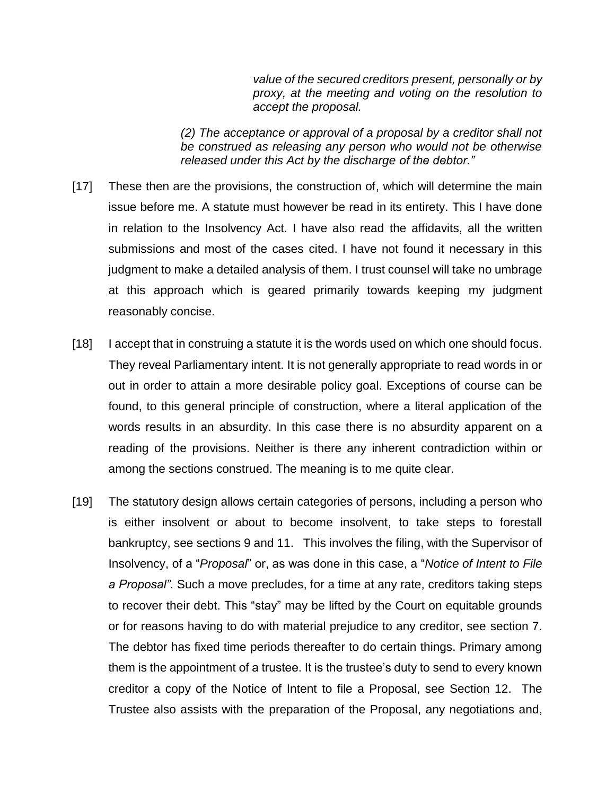*value of the secured creditors present, personally or by proxy, at the meeting and voting on the resolution to accept the proposal.*

*(2) The acceptance or approval of a proposal by a creditor shall not be construed as releasing any person who would not be otherwise released under this Act by the discharge of the debtor."*

- [17] These then are the provisions, the construction of, which will determine the main issue before me. A statute must however be read in its entirety. This I have done in relation to the Insolvency Act. I have also read the affidavits, all the written submissions and most of the cases cited. I have not found it necessary in this judgment to make a detailed analysis of them. I trust counsel will take no umbrage at this approach which is geared primarily towards keeping my judgment reasonably concise.
- [18] I accept that in construing a statute it is the words used on which one should focus. They reveal Parliamentary intent. It is not generally appropriate to read words in or out in order to attain a more desirable policy goal. Exceptions of course can be found, to this general principle of construction, where a literal application of the words results in an absurdity. In this case there is no absurdity apparent on a reading of the provisions. Neither is there any inherent contradiction within or among the sections construed. The meaning is to me quite clear.
- [19] The statutory design allows certain categories of persons, including a person who is either insolvent or about to become insolvent, to take steps to forestall bankruptcy, see sections 9 and 11. This involves the filing, with the Supervisor of Insolvency, of a "*Proposal*" or, as was done in this case, a "*Notice of Intent to File a Proposal".* Such a move precludes, for a time at any rate, creditors taking steps to recover their debt. This "stay" may be lifted by the Court on equitable grounds or for reasons having to do with material prejudice to any creditor, see section 7. The debtor has fixed time periods thereafter to do certain things. Primary among them is the appointment of a trustee. It is the trustee's duty to send to every known creditor a copy of the Notice of Intent to file a Proposal, see Section 12. The Trustee also assists with the preparation of the Proposal, any negotiations and,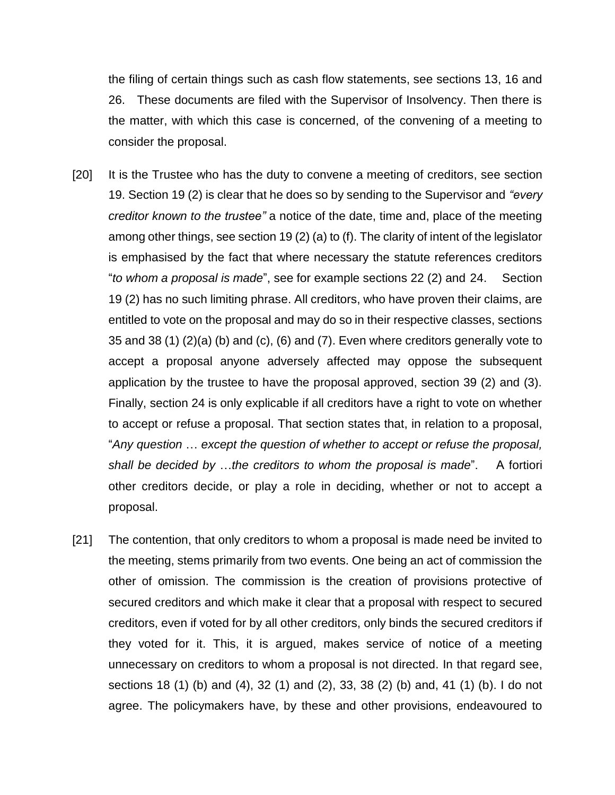the filing of certain things such as cash flow statements, see sections 13, 16 and 26. These documents are filed with the Supervisor of Insolvency. Then there is the matter, with which this case is concerned, of the convening of a meeting to consider the proposal.

- [20] It is the Trustee who has the duty to convene a meeting of creditors, see section 19. Section 19 (2) is clear that he does so by sending to the Supervisor and *"every creditor known to the trustee"* a notice of the date, time and, place of the meeting among other things, see section 19 (2) (a) to (f). The clarity of intent of the legislator is emphasised by the fact that where necessary the statute references creditors "*to whom a proposal is made*", see for example sections 22 (2) and 24. Section 19 (2) has no such limiting phrase. All creditors, who have proven their claims, are entitled to vote on the proposal and may do so in their respective classes, sections 35 and 38 (1) (2)(a) (b) and (c), (6) and (7). Even where creditors generally vote to accept a proposal anyone adversely affected may oppose the subsequent application by the trustee to have the proposal approved, section 39 (2) and (3). Finally, section 24 is only explicable if all creditors have a right to vote on whether to accept or refuse a proposal. That section states that, in relation to a proposal, "*Any question* … *except the question of whether to accept or refuse the proposal, shall be decided by* …*the creditors to whom the proposal is made*". A fortiori other creditors decide, or play a role in deciding, whether or not to accept a proposal.
- [21] The contention, that only creditors to whom a proposal is made need be invited to the meeting, stems primarily from two events. One being an act of commission the other of omission. The commission is the creation of provisions protective of secured creditors and which make it clear that a proposal with respect to secured creditors, even if voted for by all other creditors, only binds the secured creditors if they voted for it. This, it is argued, makes service of notice of a meeting unnecessary on creditors to whom a proposal is not directed. In that regard see, sections 18 (1) (b) and (4), 32 (1) and (2), 33, 38 (2) (b) and, 41 (1) (b). I do not agree. The policymakers have, by these and other provisions, endeavoured to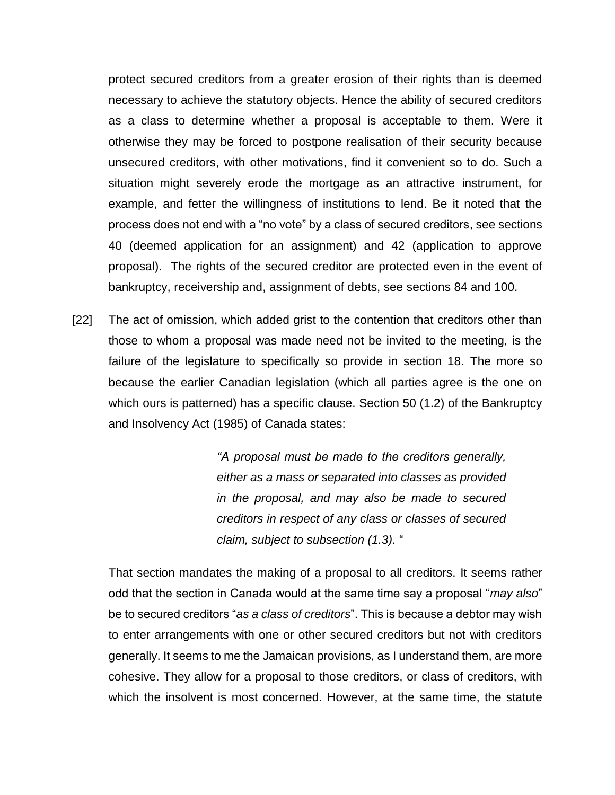protect secured creditors from a greater erosion of their rights than is deemed necessary to achieve the statutory objects. Hence the ability of secured creditors as a class to determine whether a proposal is acceptable to them. Were it otherwise they may be forced to postpone realisation of their security because unsecured creditors, with other motivations, find it convenient so to do. Such a situation might severely erode the mortgage as an attractive instrument, for example, and fetter the willingness of institutions to lend. Be it noted that the process does not end with a "no vote" by a class of secured creditors, see sections 40 (deemed application for an assignment) and 42 (application to approve proposal). The rights of the secured creditor are protected even in the event of bankruptcy, receivership and, assignment of debts, see sections 84 and 100.

[22] The act of omission, which added grist to the contention that creditors other than those to whom a proposal was made need not be invited to the meeting, is the failure of the legislature to specifically so provide in section 18. The more so because the earlier Canadian legislation (which all parties agree is the one on which ours is patterned) has a specific clause. Section 50 (1.2) of the Bankruptcy and Insolvency Act (1985) of Canada states:

> *"A proposal must be made to the creditors generally, either as a mass or separated into classes as provided in the proposal, and may also be made to secured creditors in respect of any class or classes of secured claim, subject to subsection (1.3).* "

That section mandates the making of a proposal to all creditors. It seems rather odd that the section in Canada would at the same time say a proposal "*may also*" be to secured creditors "*as a class of creditors*". This is because a debtor may wish to enter arrangements with one or other secured creditors but not with creditors generally. It seems to me the Jamaican provisions, as I understand them, are more cohesive. They allow for a proposal to those creditors, or class of creditors, with which the insolvent is most concerned. However, at the same time, the statute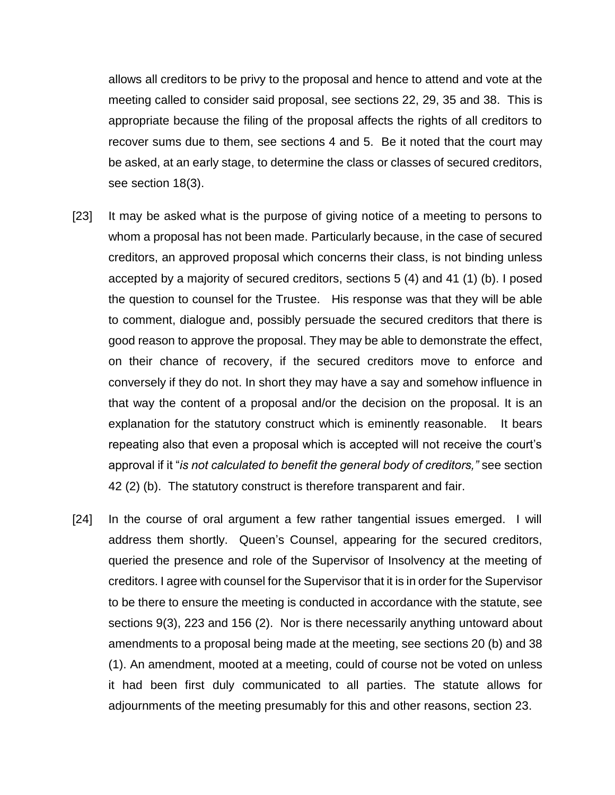allows all creditors to be privy to the proposal and hence to attend and vote at the meeting called to consider said proposal, see sections 22, 29, 35 and 38. This is appropriate because the filing of the proposal affects the rights of all creditors to recover sums due to them, see sections 4 and 5. Be it noted that the court may be asked, at an early stage, to determine the class or classes of secured creditors, see section 18(3).

- [23] It may be asked what is the purpose of giving notice of a meeting to persons to whom a proposal has not been made. Particularly because, in the case of secured creditors, an approved proposal which concerns their class, is not binding unless accepted by a majority of secured creditors, sections 5 (4) and 41 (1) (b). I posed the question to counsel for the Trustee. His response was that they will be able to comment, dialogue and, possibly persuade the secured creditors that there is good reason to approve the proposal. They may be able to demonstrate the effect, on their chance of recovery, if the secured creditors move to enforce and conversely if they do not. In short they may have a say and somehow influence in that way the content of a proposal and/or the decision on the proposal. It is an explanation for the statutory construct which is eminently reasonable. It bears repeating also that even a proposal which is accepted will not receive the court's approval if it "*is not calculated to benefit the general body of creditors,"* see section 42 (2) (b). The statutory construct is therefore transparent and fair.
- [24] In the course of oral argument a few rather tangential issues emerged. I will address them shortly. Queen's Counsel, appearing for the secured creditors, queried the presence and role of the Supervisor of Insolvency at the meeting of creditors. I agree with counsel for the Supervisor that it is in order for the Supervisor to be there to ensure the meeting is conducted in accordance with the statute, see sections 9(3), 223 and 156 (2). Nor is there necessarily anything untoward about amendments to a proposal being made at the meeting, see sections 20 (b) and 38 (1). An amendment, mooted at a meeting, could of course not be voted on unless it had been first duly communicated to all parties. The statute allows for adjournments of the meeting presumably for this and other reasons, section 23.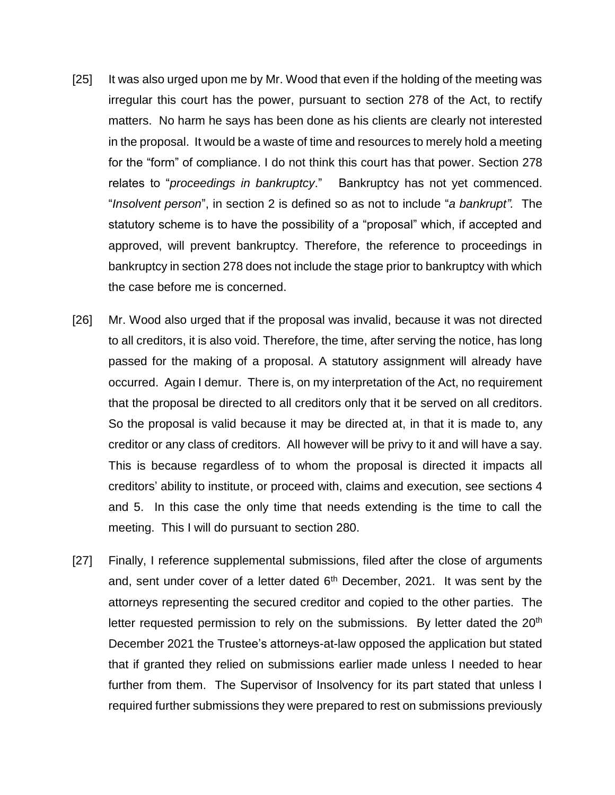- [25] It was also urged upon me by Mr. Wood that even if the holding of the meeting was irregular this court has the power, pursuant to section 278 of the Act, to rectify matters. No harm he says has been done as his clients are clearly not interested in the proposal. It would be a waste of time and resources to merely hold a meeting for the "form" of compliance. I do not think this court has that power. Section 278 relates to "*proceedings in bankruptcy*." Bankruptcy has not yet commenced. "*Insolvent person*", in section 2 is defined so as not to include "*a bankrupt".* The statutory scheme is to have the possibility of a "proposal" which, if accepted and approved, will prevent bankruptcy. Therefore, the reference to proceedings in bankruptcy in section 278 does not include the stage prior to bankruptcy with which the case before me is concerned.
- [26] Mr. Wood also urged that if the proposal was invalid, because it was not directed to all creditors, it is also void. Therefore, the time, after serving the notice, has long passed for the making of a proposal. A statutory assignment will already have occurred. Again I demur. There is, on my interpretation of the Act, no requirement that the proposal be directed to all creditors only that it be served on all creditors. So the proposal is valid because it may be directed at, in that it is made to, any creditor or any class of creditors. All however will be privy to it and will have a say. This is because regardless of to whom the proposal is directed it impacts all creditors' ability to institute, or proceed with, claims and execution, see sections 4 and 5. In this case the only time that needs extending is the time to call the meeting. This I will do pursuant to section 280.
- [27] Finally, I reference supplemental submissions, filed after the close of arguments and, sent under cover of a letter dated  $6<sup>th</sup>$  December, 2021. It was sent by the attorneys representing the secured creditor and copied to the other parties. The letter requested permission to rely on the submissions. By letter dated the  $20<sup>th</sup>$ December 2021 the Trustee's attorneys-at-law opposed the application but stated that if granted they relied on submissions earlier made unless I needed to hear further from them. The Supervisor of Insolvency for its part stated that unless I required further submissions they were prepared to rest on submissions previously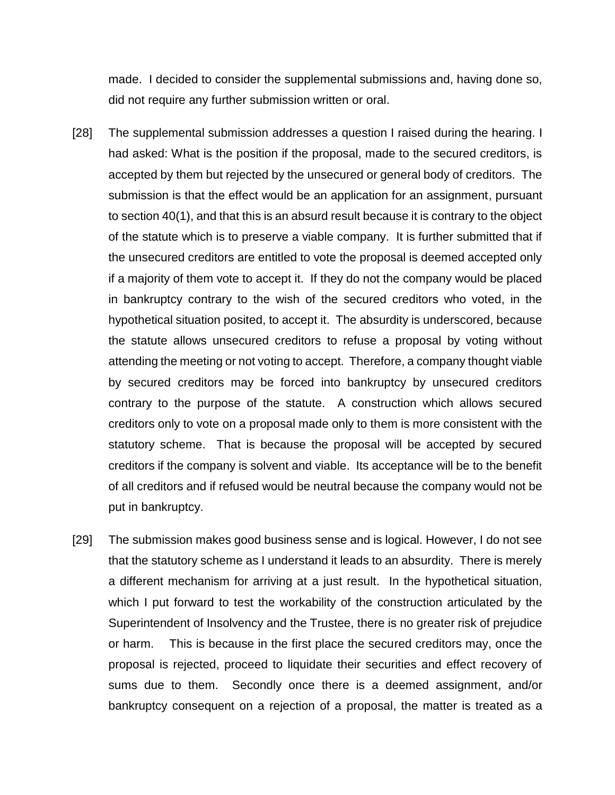made. I decided to consider the supplemental submissions and, having done so, did not require any further submission written or oral.

- [28] The supplemental submission addresses a question I raised during the hearing. I had asked: What is the position if the proposal, made to the secured creditors, is accepted by them but rejected by the unsecured or general body of creditors. The submission is that the effect would be an application for an assignment, pursuant to section 40(1), and that this is an absurd result because it is contrary to the object of the statute which is to preserve a viable company. It is further submitted that if the unsecured creditors are entitled to vote the proposal is deemed accepted only if a majority of them vote to accept it. If they do not the company would be placed in bankruptcy contrary to the wish of the secured creditors who voted, in the hypothetical situation posited, to accept it. The absurdity is underscored, because the statute allows unsecured creditors to refuse a proposal by voting without attending the meeting or not voting to accept. Therefore, a company thought viable by secured creditors may be forced into bankruptcy by unsecured creditors contrary to the purpose of the statute. A construction which allows secured creditors only to vote on a proposal made only to them is more consistent with the statutory scheme. That is because the proposal will be accepted by secured creditors if the company is solvent and viable. Its acceptance will be to the benefit of all creditors and if refused would be neutral because the company would not be put in bankruptcy.
- [29] The submission makes good business sense and is logical. However, I do not see that the statutory scheme as I understand it leads to an absurdity. There is merely a different mechanism for arriving at a just result. In the hypothetical situation, which I put forward to test the workability of the construction articulated by the Superintendent of Insolvency and the Trustee, there is no greater risk of prejudice or harm. This is because in the first place the secured creditors may, once the proposal is rejected, proceed to liquidate their securities and effect recovery of sums due to them. Secondly once there is a deemed assignment, and/or bankruptcy consequent on a rejection of a proposal, the matter is treated as a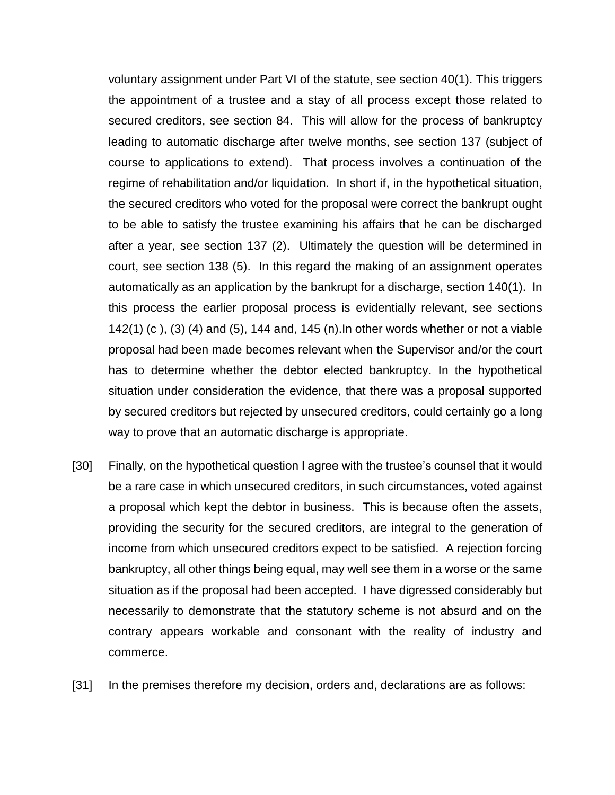voluntary assignment under Part VI of the statute, see section 40(1). This triggers the appointment of a trustee and a stay of all process except those related to secured creditors, see section 84. This will allow for the process of bankruptcy leading to automatic discharge after twelve months, see section 137 (subject of course to applications to extend). That process involves a continuation of the regime of rehabilitation and/or liquidation. In short if, in the hypothetical situation, the secured creditors who voted for the proposal were correct the bankrupt ought to be able to satisfy the trustee examining his affairs that he can be discharged after a year, see section 137 (2). Ultimately the question will be determined in court, see section 138 (5). In this regard the making of an assignment operates automatically as an application by the bankrupt for a discharge, section 140(1). In this process the earlier proposal process is evidentially relevant, see sections 142(1) (c ), (3) (4) and (5), 144 and, 145 (n).In other words whether or not a viable proposal had been made becomes relevant when the Supervisor and/or the court has to determine whether the debtor elected bankruptcy. In the hypothetical situation under consideration the evidence, that there was a proposal supported by secured creditors but rejected by unsecured creditors, could certainly go a long way to prove that an automatic discharge is appropriate.

- [30] Finally, on the hypothetical question I agree with the trustee's counsel that it would be a rare case in which unsecured creditors, in such circumstances, voted against a proposal which kept the debtor in business. This is because often the assets, providing the security for the secured creditors, are integral to the generation of income from which unsecured creditors expect to be satisfied. A rejection forcing bankruptcy, all other things being equal, may well see them in a worse or the same situation as if the proposal had been accepted. I have digressed considerably but necessarily to demonstrate that the statutory scheme is not absurd and on the contrary appears workable and consonant with the reality of industry and commerce.
- [31] In the premises therefore my decision, orders and, declarations are as follows: